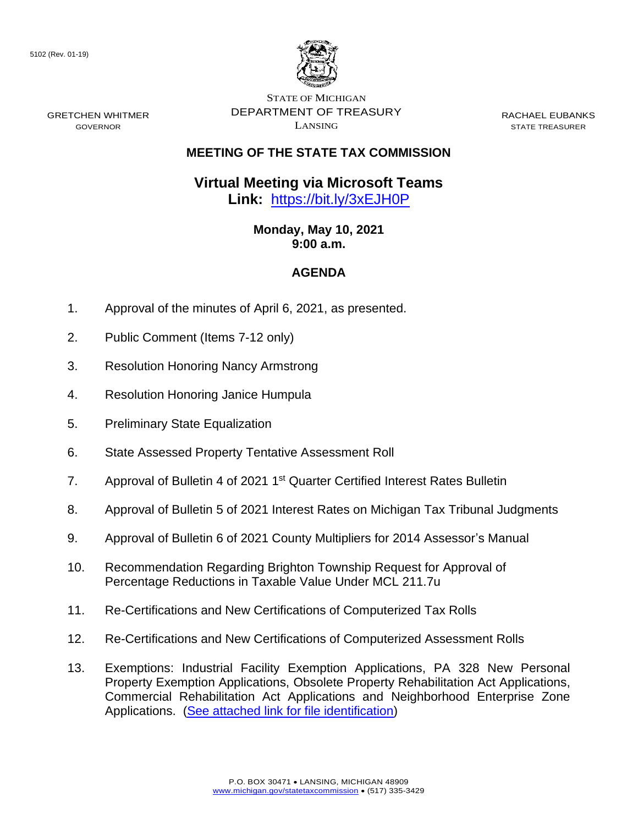GRETCHEN WHITMER GOVERNOR



STATE OF MICHIGAN DEPARTMENT OF TREASURY LANSING

RACHAEL EUBANKS STATE TREASURER

## **MEETING OF THE STATE TAX COMMISSION**

**Virtual Meeting via Microsoft Teams Link:** [https://bit.ly/3xEJH0P](https://gcc02.safelinks.protection.outlook.com/?url=https%3A%2F%2Fbit.ly%2F3xEJH0P&data=04%7C01%7CDensteadtL%40michigan.gov%7C01f2173534994e01f56e08d90a50d52a%7Cd5fb7087377742ad966a892ef47225d1%7C0%7C0%7C637552164548575589%7CUnknown%7CTWFpbGZsb3d8eyJWIjoiMC4wLjAwMDAiLCJQIjoiV2luMzIiLCJBTiI6Ik1haWwiLCJXVCI6Mn0%3D%7C1000&sdata=I7CAbWo7y12HDmwh4BbHTxcvCvElfxt1Y%2FWmwMfzg4s%3D&reserved=0)

> **Monday, May 10, 2021 9:00 a.m.**

## **AGENDA**

- 1. Approval of the minutes of April 6, 2021, as presented.
- 2. Public Comment (Items 7-12 only)
- 3. Resolution Honoring Nancy Armstrong
- 4. Resolution Honoring Janice Humpula
- 5. Preliminary State Equalization
- 6. State Assessed Property Tentative Assessment Roll
- 7. Approval of Bulletin 4 of 2021 1<sup>st</sup> Quarter Certified Interest Rates Bulletin
- 8. Approval of Bulletin 5 of 2021 Interest Rates on Michigan Tax Tribunal Judgments
- 9. Approval of Bulletin 6 of 2021 County Multipliers for 2014 Assessor's Manual
- 10. Recommendation Regarding Brighton Township Request for Approval of Percentage Reductions in Taxable Value Under MCL 211.7u
- 11. Re-Certifications and New Certifications of Computerized Tax Rolls
- 12. Re-Certifications and New Certifications of Computerized Assessment Rolls
- 13. Exemptions: Industrial Facility Exemption Applications, PA 328 New Personal Property Exemption Applications, Obsolete Property Rehabilitation Act Applications, Commercial Rehabilitation Act Applications and Neighborhood Enterprise Zone Applications. [\(See attached link for file identification\)](https://www.michigan.gov/documents/treasury/Item_13_Exemptions_Agenda_724086_7.pdf)